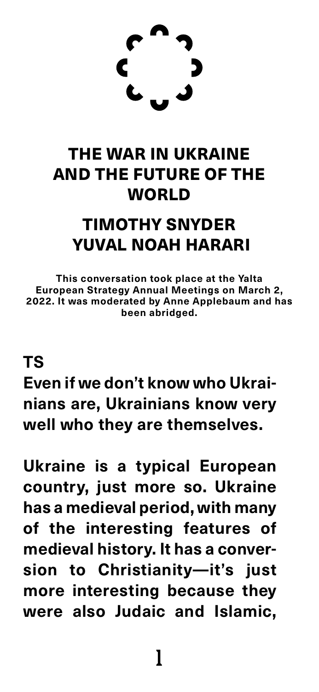### **TS Even if we don't know who Ukrainians are, Ukrainians know very well who they are themselves.**

**Ukraine is a typical European country, just more so. Ukraine has a medieval period, with many of the interesting features of medieval history. It has a conversion to Christianity—it's just more interesting because they were also Judaic and Islamic,** 

### THE WAR IN UKRAINE AND THE FUTURE OF THE WORLD



## TIMOTHY SNYDER YUVAL NOAH HARARI

**This conversation took place at the Yalta European Strategy Annual Meetings on March 2, 2022. It was moderated by Anne Applebaum and has been abridged.**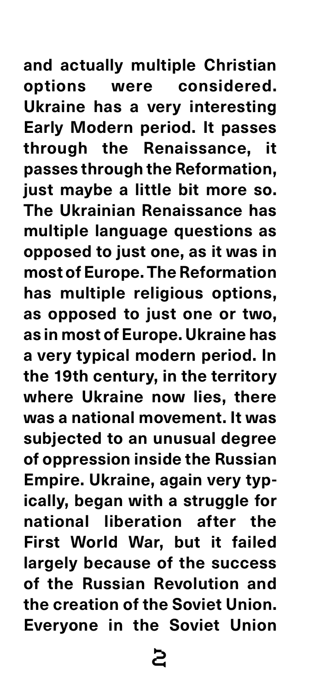**and actually multiple Christian options were considered. Ukraine has a very interesting Early Modern period. It passes through the Renaissance, it passes through the Reformation, just maybe a little bit more so. The Ukrainian Renaissance has multiple language questions as opposed to just one, as it was in most of Europe. The Reformation has multiple religious options, as opposed to just one or two, as in most of Europe. Ukraine has a very typical modern period. In the 19th century, in the territory where Ukraine now lies, there was a national movement. It was subjected to an unusual degree of oppression inside the Russian Empire. Ukraine, again very typically, began with a struggle for national liberation after the First World War, but it failed largely because of the success of the Russian Revolution and the creation of the Soviet Union. Everyone in the Soviet Union**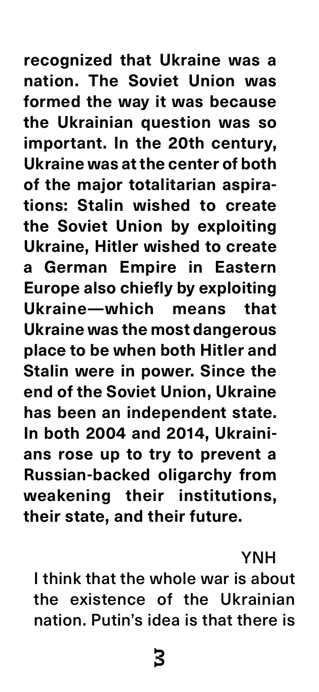**recognized that Ukraine was a nation. The Soviet Union was formed the way it was because the Ukrainian question was so important. In the 20th century, Ukraine was at the center of both of the major totalitarian aspirations: Stalin wished to create the Soviet Union by exploiting Ukraine, Hitler wished to create a German Empire in Eastern Europe also chiefly by exploiting Ukraine—which means that Ukraine was the most dangerous place to be when both Hitler and Stalin were in power. Since the end of the Soviet Union, Ukraine has been an independent state. In both 2004 and 2014, Ukrainians rose up to try to prevent a Russian-backed oligarchy from weakening their institutions,** 

#### **their state, and their future.**

### YNH I think that the whole war is about the existence of the Ukrainian nation. Putin's idea is that there is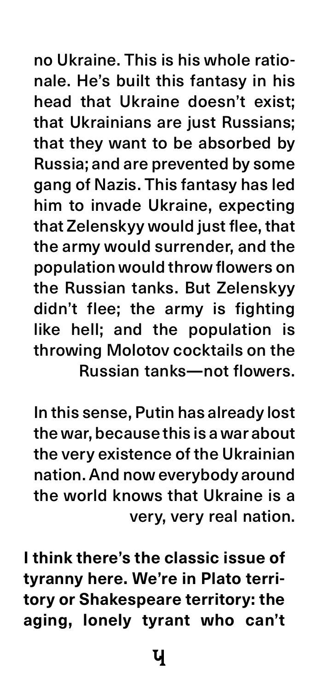no Ukraine. This is his whole rationale. He's built this fantasy in his head that Ukraine doesn't exist; that Ukrainians are just Russians; that they want to be absorbed by Russia; and are prevented by some gang of Nazis. This fantasy has led him to invade Ukraine, expecting that Zelenskyy would just flee, that the army would surrender, and the population would throw flowers on the Russian tanks. But Zelenskyy didn't flee; the army is fighting like hell; and the population is throwing Molotov cocktails on the Russian tanks**—**not flowers.

In this sense, Putin has already lost the war, because this is a war about the very existence of the Ukrainian nation. And now everybody around the world knows that Ukraine is a

#### very, very real nation.

**I think there's the classic issue of tyranny here. We're in Plato territory or Shakespeare territory: the aging, lonely tyrant who can't** 

 $\mathbf{U}$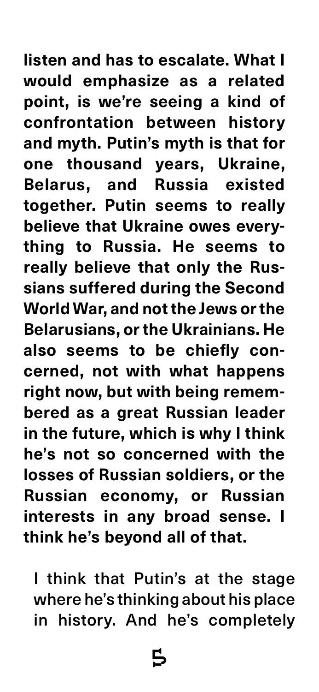**listen and has to escalate. What I would emphasize as a related point, is we're seeing a kind of confrontation between history and myth. Putin's myth is that for one thousand years, Ukraine, Belarus, and Russia existed together. Putin seems to really believe that Ukraine owes everything to Russia. He seems to really believe that only the Russians suffered during the Second World War, and not the Jews or the Belarusians, or the Ukrainians. He also seems to be chiefly concerned, not with what happens right now, but with being remembered as a great Russian leader in the future, which is why I think he's not so concerned with the losses of Russian soldiers, or the Russian economy, or Russian** 

#### **interests in any broad sense. I think he's beyond all of that.**

I think that Putin's at the stage where he's thinking about his place in history. And he's completely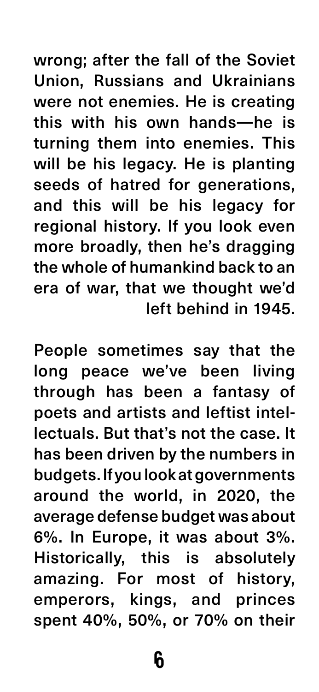wrong; after the fall of the Soviet Union, Russians and Ukrainians were not enemies. He is creating this with his own hands—he is turning them into enemies. This will be his legacy. He is planting seeds of hatred for generations, and this will be his legacy for regional history. If you look even more broadly, then he's dragging

the whole of humankind back to an era of war, that we thought we'd left behind in 1945.

People sometimes say that the long peace we've been living through has been a fantasy of poets and artists and leftist intellectuals. But that's not the case. It has been driven by the numbers in budgets. If you look at governments around the world, in 2020, the average defense budget was about 6%. In Europe, it was about 3%. Historically, this is absolutely amazing. For most of history, emperors, kings, and princes spent 40%, 50%, or 70% on their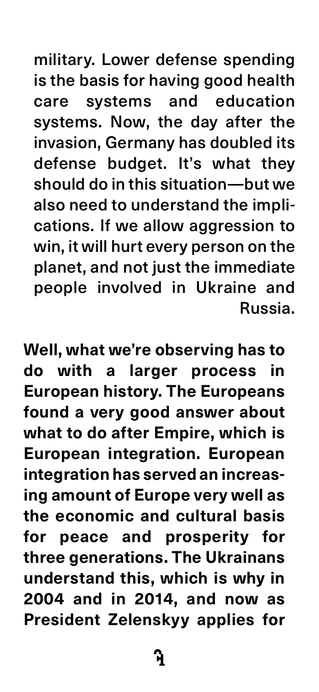military. Lower defense spending is the basis for having good health care systems and education systems. Now, the day after the invasion, Germany has doubled its defense budget. It's what they should do in this situation—but we also need to understand the implications. If we allow aggression to win, it will hurt every person on the

planet, and not just the immediate people involved in Ukraine and Russia.

**Well, what we're observing has to do with a larger process in European history. The Europeans found a very good answer about what to do after Empire, which is European integration. European integration has served an increasing amount of Europe very well as the economic and cultural basis for peace and prosperity for three generations. The Ukrainans understand this, which is why in 2004 and in 2014, and now as President Zelenskyy applies for** 

 $\mathbf{H}$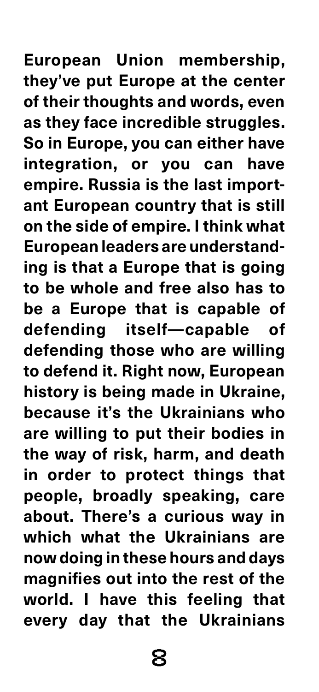**European Union membership, they've put Europe at the center of their thoughts and words, even as they face incredible struggles. So in Europe, you can either have integration, or you can have empire. Russia is the last important European country that is still on the side of empire. I think what European leaders are understanding is that a Europe that is going to be whole and free also has to be a Europe that is capable of defending itself—capable of defending those who are willing to defend it. Right now, European history is being made in Ukraine, because it's the Ukrainians who are willing to put their bodies in the way of risk, harm, and death in order to protect things that people, broadly speaking, care about. There's a curious way in which what the Ukrainians are now doing in these hours and days magnifies out into the rest of the world. I have this feeling that every day that the Ukrainians**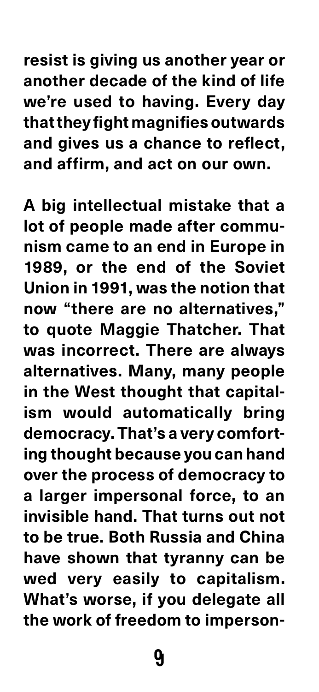**resist is giving us another year or another decade of the kind of life we're used to having. Every day that they fight magnifies outwards and gives us a chance to reflect, and affirm, and act on our own.** 

**A big intellectual mistake that a lot of people made after communism came to an end in Europe in** 

**1989, or the end of the Soviet Union in 1991, was the notion that now "there are no alternatives," to quote Maggie Thatcher. That was incorrect. There are always alternatives. Many, many people in the West thought that capitalism would automatically bring democracy. That's a very comforting thought because you can hand over the process of democracy to a larger impersonal force, to an invisible hand. That turns out not to be true. Both Russia and China have shown that tyranny can be wed very easily to capitalism.**  What's worse, if you delegate all **the work of freedom to imperson-**

**y**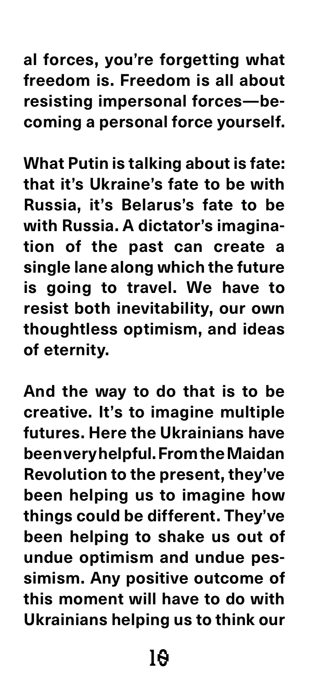### 10

**al forces, you're forgetting what freedom is. Freedom is all about resisting impersonal forces—becoming a personal force yourself.**

**What Putin is talking about is fate: that it's Ukraine's fate to be with Russia, it's Belarus's fate to be with Russia. A dictator's imagination of the past can create a single lane along which the future is going to travel. We have to resist both inevitability, our own thoughtless optimism, and ideas of eternity.** 

**And the way to do that is to be creative. It's to imagine multiple futures. Here the Ukrainians have been very helpful. From the Maidan Revolution to the present, they've been helping us to imagine how things could be different. They've been helping to shake us out of undue optimism and undue pessimism. Any positive outcome of this moment will have to do with Ukrainians helping us to think our**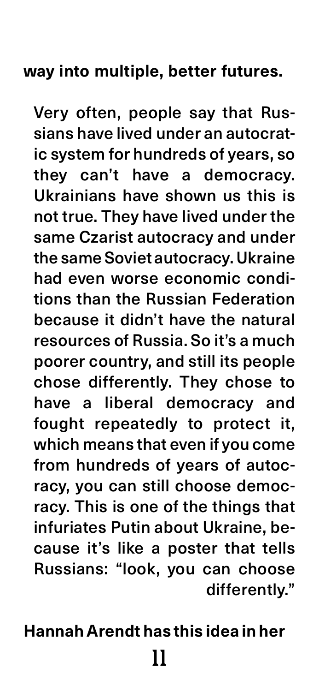#### **way into multiple, better futures.**

### 11 **Hannah Arendt has this idea in her**

Very often, people say that Russians have lived under an autocratic system for hundreds of years, so they can't have a democracy. Ukrainians have shown us this is not true. They have lived under the same Czarist autocracy and under the same Soviet autocracy. Ukraine had even worse economic conditions than the Russian Federation because it didn't have the natural resources of Russia. So it's a much poorer country, and still its people chose differently. They chose to have a liberal democracy and fought repeatedly to protect it, which means that even if you come from hundreds of years of autocracy, you can still choose democracy. This is one of the things that infuriates Putin about Ukraine, because it's like a poster that tells Russians: "look, you can choose differently."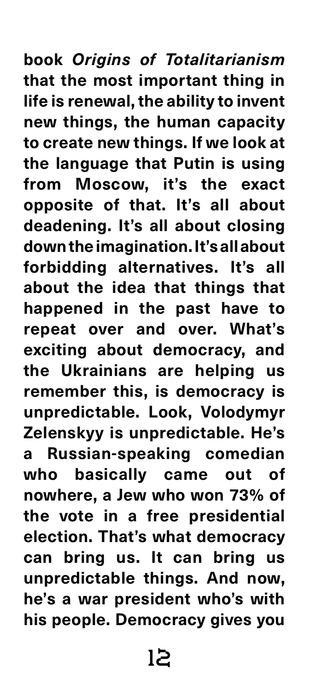### 12

**book** *Origins of Totalitarianism* **that the most important thing in life is renewal, the ability to invent new things, the human capacity to create new things. If we look at the language that Putin is using from Moscow, it's the exact opposite of that. It's all about deadening. It's all about closing down the imagination. It's all about forbidding alternatives. It's all about the idea that things that happened in the past have to repeat over and over. What's exciting about democracy, and the Ukrainians are helping us remember this, is democracy is unpredictable. Look, Volodymyr Zelenskyy is unpredictable. He's a Russian-speaking comedian who basically came out of nowhere, a Jew who won 73% of the vote in a free presidential election. That's what democracy can bring us. It can bring us unpredictable things. And now, he's a war president who's with his people. Democracy gives you**